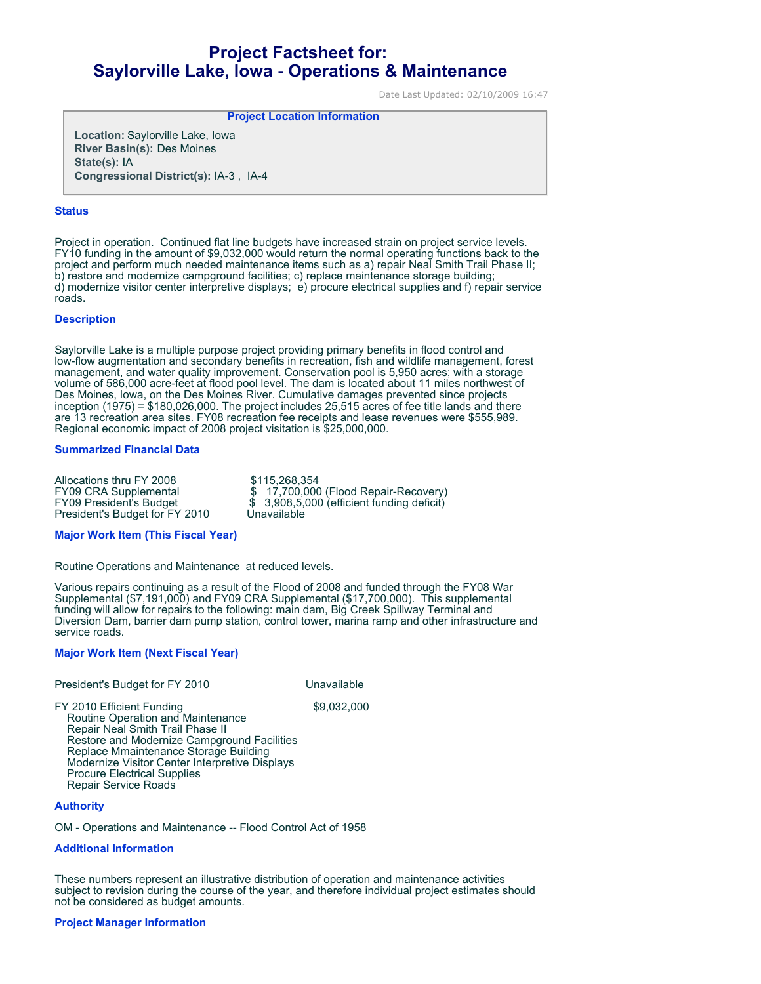# **Project Factsheet for: Saylorville Lake, Iowa - Operations & Maintenance**

Date Last Updated: 02/10/2009 16:47

**Project Location Information** 

**Location:** Saylorville Lake, Iowa **River Basin(s):** Des Moines **State(s):** IA **Congressional District(s):** IA-3 , IA-4

### **Status**

Project in operation. Continued flat line budgets have increased strain on project service levels. FY10 funding in the amount of \$9,032,000 would return the normal operating functions back to the project and perform much needed maintenance items such as a) repair Neal Smith Trail Phase II; b) restore and modernize campground facilities; c) replace maintenance storage building; d) modernize visitor center interpretive displays; e) procure electrical supplies and f) repair service roads.

## **Description**

Saylorville Lake is a multiple purpose project providing primary benefits in flood control and low-flow augmentation and secondary benefits in recreation, fish and wildlife management, forest management, and water quality improvement. Conservation pool is 5,950 acres; with a storage volume of 586,000 acre-feet at flood pool level. The dam is located about 11 miles northwest of Des Moines, Iowa, on the Des Moines River. Cumulative damages prevented since projects inception (1975) = \$180,026,000. The project includes 25,515 acres of fee title lands and there are 13 recreation area sites. FY08 recreation fee receipts and lease revenues were \$555,989. Regional economic impact of 2008 project visitation is \$25,000,000.

## **Summarized Financial Data**

Allocations thru FY 2008 \$115,268,354<br>FY09 CRA Supplemental \$ 17,700,000 President's Budget for FY 2010

FY09 CRA Supplemental  $$ 17,700,000$  (Flood Repair-Recovery)<br>FY09 President's Budget  $$ 3,908,5,000$  (efficient funding deficit)  $$3,908,5,000$  (efficient funding deficit)<br>Unavailable

#### **Major Work Item (This Fiscal Year)**

Routine Operations and Maintenance at reduced levels.

Various repairs continuing as a result of the Flood of 2008 and funded through the FY08 War Supplemental (\$7,191,000) and FY09 CRA Supplemental (\$17,700,000). This supplemental funding will allow for repairs to the following: main dam, Big Creek Spillway Terminal and Diversion Dam, barrier dam pump station, control tower, marina ramp and other infrastructure and service roads.

## **Major Work Item (Next Fiscal Year)**

President's Budget for FY 2010

FY 2010 Efficient Funding \$9,032,000 Routine Operation and Maintenance Repair Neal Smith Trail Phase II Restore and Modernize Campground Facilities Replace Mmaintenance Storage Building Modernize Visitor Center Interpretive Displays Procure Electrical Supplies Repair Service Roads

## **Authority**

OM - Operations and Maintenance -- Flood Control Act of 1958

## **Additional Information**

These numbers represent an illustrative distribution of operation and maintenance activities subject to revision during the course of the year, and therefore individual project estimates should not be considered as budget amounts.

## **Project Manager Information**